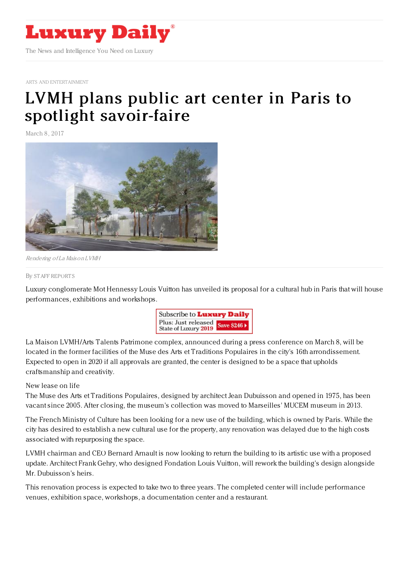

ARTS AND [ENTERTAINMENT](https://www.luxurydaily.com/category/sectors/arts-and-entertainment/)

## LVMH plans public art center in Paris to spotlight [savoir-faire](https://www.luxurydaily.com/lvmh-plans-public-art-center-in-paris-to-spotlight-savoir-faire/)

March 8, 2017



Rendering of La Maison LVMH

## By STAFF [REPORT](file:///author/staff-reports) S

Luxury conglomerate Mot Hennessy Louis Vuitton has unveiled its proposal for a cultural hub in Paris that will house performances, exhibitions and workshops.



La Maison LVMH/Arts Talents Patrimone complex, announced during a press conference on March 8, will be located in the former facilities of the Muse des Arts et Traditions Populaires in the city's 16th arrondissement. Expected to open in 2020 if all approvals are granted, the center is designed to be a space that upholds craftsmanship and creativity.

## New lease on life

The Muse des Arts et Traditions Populaires, designed by architect Jean Dubuisson and opened in 1975, has been vacant since 2005. After closing, the museum's collection was moved to Marseilles' MUCEM museum in 2013.

The French Ministry of Culture has been looking for a new use of the building, which is owned by Paris. While the city has desired to establish a new cultural use for the property, any renovation was delayed due to the high costs associated with repurposing the space.

LVMH chairman and CEO Bernard Arnault is now looking to return the building to its artistic use with a proposed update. Architect Frank Gehry, who designed Fondation Louis Vuitton, will rework the building's design alongside Mr. Dubuisson's heirs.

This renovation process is expected to take two to three years. The completed center will include performance venues, exhibition space, workshops, a documentation center and a restaurant.